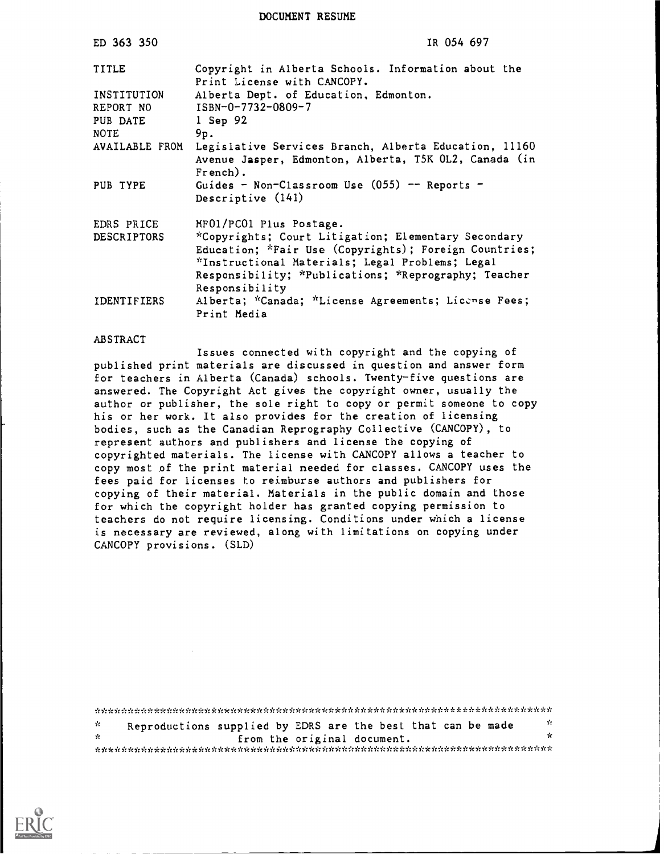DOCUMENT RESUME

| ED 363 350         | IR 054 697                                                                                                                    |
|--------------------|-------------------------------------------------------------------------------------------------------------------------------|
| TITLE              | Copyright in Alberta Schools. Information about the<br>Print License with CANCOPY.                                            |
| INSTITUTION        | Alberta Dept. of Education, Edmonton.                                                                                         |
| REPORT NO          | ISBN-0-7732-0809-7                                                                                                            |
| PUB DATE           | 1 Sep 92                                                                                                                      |
| <b>NOTE</b>        | 9p.                                                                                                                           |
| AVAILABLE FROM     | Legislative Services Branch, Alberta Education, 11160<br>Avenue Jasper, Edmonton, Alberta, T5K OL2, Canada (in<br>$French$ ). |
| PUB TYPE           | Guides - Non-Classroom Use $(055)$ -- Reports -<br>Descriptive (141)                                                          |
| EDRS PRICE         | MF01/PC01 Plus Postage.                                                                                                       |
| <b>DESCRIPTORS</b> | *Copyrights; Court Litigation; Elementary Secondary                                                                           |
|                    | Education; *Fair Use (Copyrights); Foreign Countries;                                                                         |
|                    | *Instructional Materials; Legal Problems; Legal                                                                               |
|                    | Responsibility; *Publications; *Reprography; Teacher                                                                          |
|                    | Responsibility                                                                                                                |
| IDENTIFIERS        | Alberta; *Canada; *License Agreements; License Fees;<br>Print Media                                                           |

#### ABSTRACT

Issues connected with copyright and the copying of published print materials are discussed in question and answer form for teachers in Alberta (Canada) schools. Twenty-five questions are answered. The Copyright Act gives the copyright owner, usually the author or publisher, the sole right to copy or permit someone to copy his or her work. It also provides for the creation of licensing bodies, such as the Canadian Reprography Collective (CANCOPY), to represent authors and publishers and license the copying of copyrighted materials. The license with CANCOPY allows a teacher to copy most of the print material needed for classes. CANCOPY uses the fees paid for licenses to reimburse authors and publishers for copying of their material. Materials in the public domain and those for which the copyright holder has granted copying permission to teachers do not require licensing. Conditions under which a license is necessary are reviewed, along with limitations on copying under CANCOPY provisions. (SLD)

Reproductions supplied by EDRS are the best that can be made  $\frac{1}{x}$  $\mathcal{G}_\mathcal{C}$ from the original document. \*\*\*\*\*\*\*\*\*\*\*\*\*\*\*\*\*\*\*\*\*\*\*\*\*\*\*\*\*\*\*\*\*\*\*\*\*\*\*\*\*\*\*\*\*\*\*\*\*\*\*\*\*\*\*\*\*\*\*\*\*\*\*\*\*\*\*\*\*\*\*

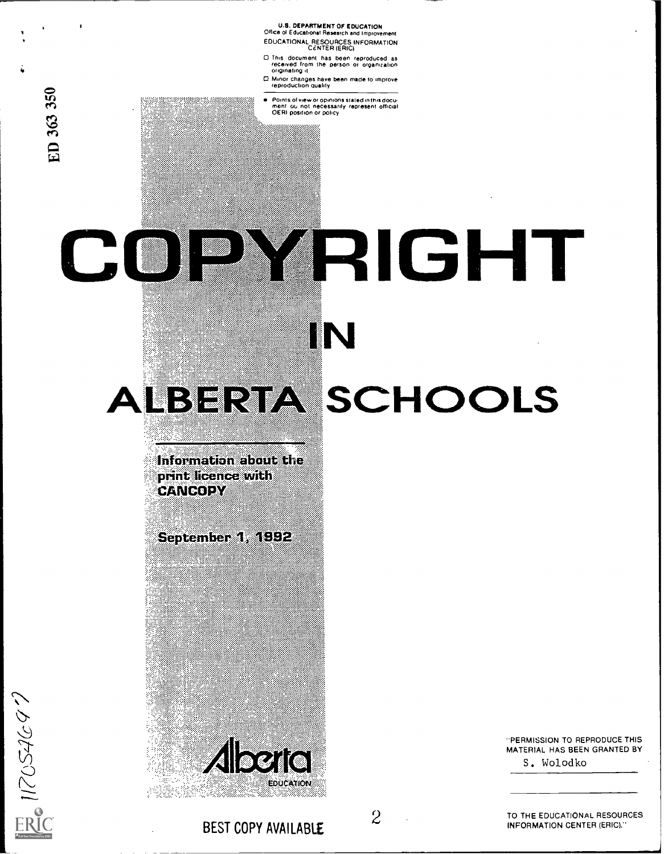U.S. DEPARTMENT OF EDUCATION Office of Educatronai Research and Improvement EDUCATIONAL RESOURCES INFORMATION CENTER (ERIC)

- 0 This document has been reproduCed as received from the person or organization originating it
- 0 Minor changes have been made to improve reproduction guakty
- fin Points of view or opinions stated in this docu.<br>
The ment ou not necessarily represent official<br>
OERI position or policy

# IGHT CO  $\mathbb{Z}$ IN HOOLS

.101.

Information about the print licence with **CANCOPY** 

11.

September 1, 1992



"PERMISSION TO REPRODUCE THIS MATERIAL HAS BEEN GRANTED BY S. Wolodko

**ER** 117054697

ee')

C: ;T-1

BEST COPY AVAILABLE

2

TO THE EDUCATIONAL RESOURCES INFORMATION CENTER (ERIC)."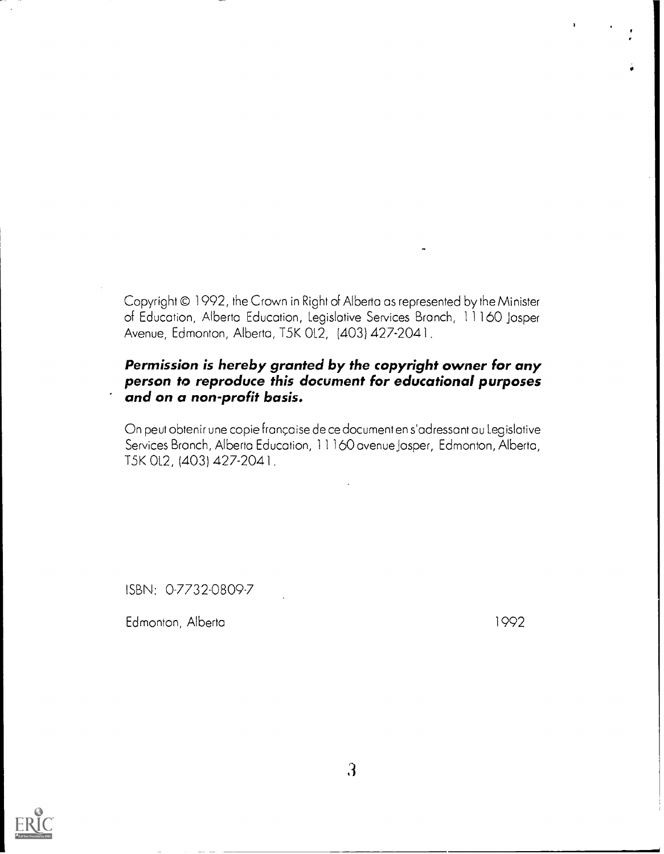Copyright © 1992, the Crown in Right of Alberta as represented by the Minister of Education, Alberta Education, Legislative Services Branch, 11160 Jasper Avenue, Edmonton, Alberto, T5K 0L2, {403) 427-2041.

## Permission is hereby granted by the copyright owner for any person to reproduce this document for educational purposes and on a non-profit basis.

On peut obtenir une copie française de ce document en s'adressant au Legislative Services Bronch, Alberta Education, 11160 avenue Jasper, Edmonton, Alberta, T5K 0L2, (403) 427-2041.

ISBN: 0-7732-0809-7

Edmonton, Alberta 1992



3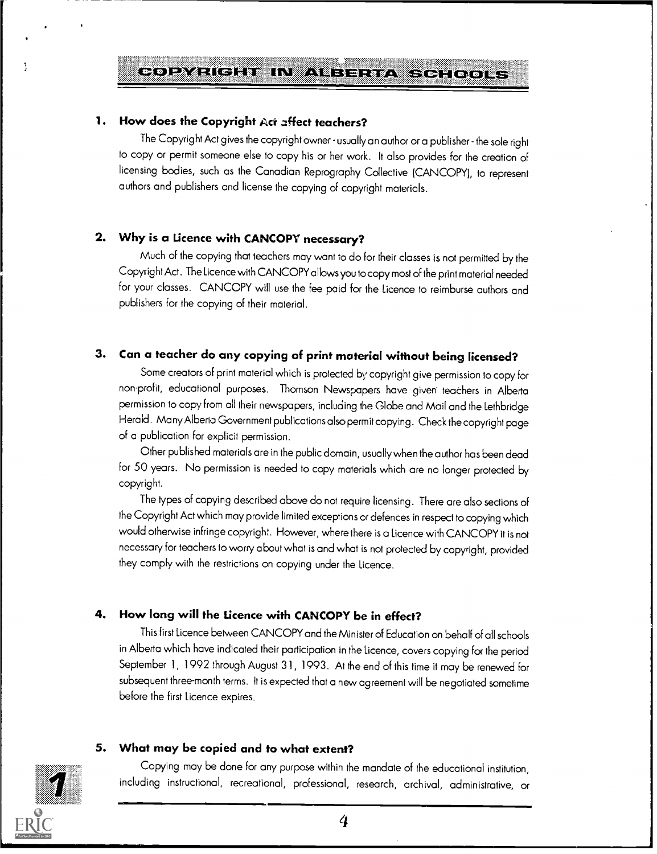## COPYRIGHT IN ALBERTA SCHOOLS

#### 1. How does the Copyright Act affect teachers?

The Copyright Act gives the copyright owner - usually an author or a publisher - the sole right to copy or permit someone else to copy his or her work. It also provides for the creation of licensing bodies, such as the Canadian Reprography Collective ICANCOPY), to represent authors and publishers and license the copying of copyright materials.

#### 2. Why is a Licence with CANCOPY necessary?

Much of the copying that teachers may want to do for their classes is not permitted by the Copyright Act. The Licence with CANCOPY allowsyou to copy most of the print material needed for your classes. CANCOPY will use the fee paid for the licence to reimburse authors and publishers for the copying of their material.

## 3. Can a teacher do any copying of print material without being licensed?

Some creators of print material which is protected by copyright give permission to copy for non-profit, educational purposes. Thomson Newspapers have given teachers in Alberta permission to copy from all their newspapers, including the Globe and Mail and the Lethbridge Herald. Many Alberta Government publications also permit copying. Check the copyright page of a publication for explicit permission.

Other published materials are in the public domain, usually when the author has beendead for 50 years. No permission is needed to copy materials which are no longer protected by copyright.

The types of copying described above do not require licensing . There are also sections of the Copyright Act which may provide limited exceptions or defences in respect to copying which would otherwise infringe copyright. However, where there is a Licence with CANCOPY it is not necessary for teachers to worry about what is and what is not protected by copyright, provided they comply with the restrictions on copying under the Licence.

#### 4. How long will the Licence with CANCOPY be in effect?

This first Licence between CANCOPY and the Minister of Education on behalf of all schools in Alberta which have indicated their participation in the Licence, covers copying for the period September 1, 1992 through August 31, 1993. At the end of this time it may be renewed for subsequent three-month terms. It is expected that a new agreement will be negotiated sometime before the first Licence expires.

## 5. What may be copied and to what extent?

Copying may be done for any purpose within the mandate of the educational institution, including instructional, recreational, professional, research, archival, administrative, or

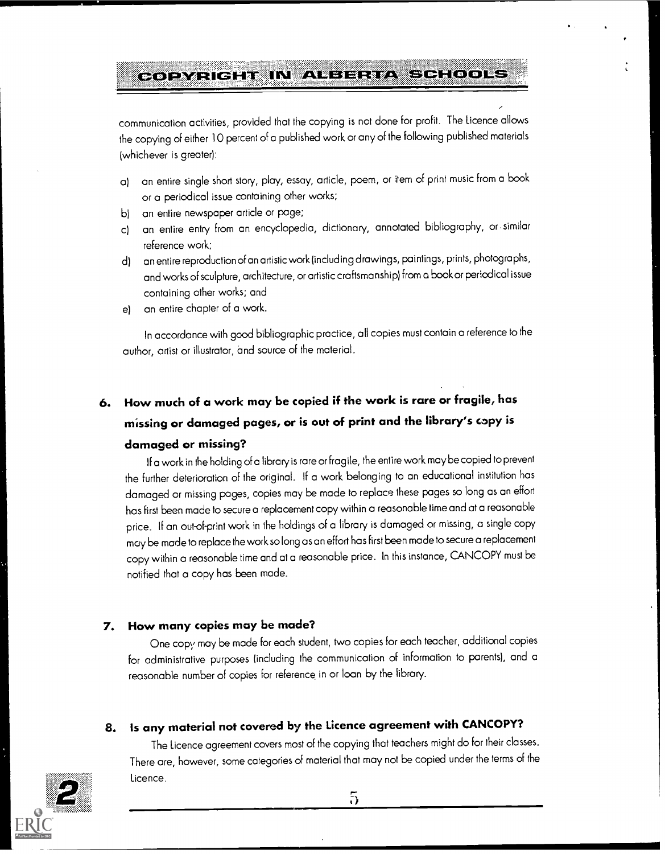#### COPYRIGHT IN ALBERTA **EXPERISTIN**

communication activities, provided that the copying is not done for profit. The Licence allows the copying of either 10 percent of a published work or any of the following published materials (whichever is greater):

- a) an entire single short story, play, essay, article, poem, or item of print music from a book or a periodical issue containing other works;
- b) an entire newspaper article or page;
- c) an entire entry from an encyclopedia, dictionary, annotated bibliography, or similar reference work;
- d) an entire reproduction of an artistic work (including drawings, paintings, prints, photographs, and works of sculpture, architecture, or artistic craftsmanship) from a book or periodical issue containing other works; and
- e) an entire chapter of a work.

In accordance with good bibliographic practice, all copies must contain a reference to the author, artist or illustrator, and source of the material.

# 6. How much of a work may be copied if the work is rare or fragile, has missing or damaged pages, or is out of print and the library's copy is damaged or missing?

If a work in the holding of a library is rare or fragile, the entire work may be copied to prevent the further deterioration of the original. If a work belonging to an educational institution has damaged or missing pages, copies may be made to replace these pages so long as aneffort has first been made to secure a replacement copy within a reasonable time and at a reasonable price. If an out-of-print work in the holdings of a library is damaged or missing, a single copy may be made to replace the work so long as an effort has first been made to secure a replacement copy within a reasonable time and at a reasonable price. In this instance, CANCOPY must be notified that a copy has been made.

#### 7. How many copies may be made?

One copy may be made for each student, two copies for each teacher, additional copies for administrative purposes (including the communication of information to parents), and a reasonable number of copies for reference, in or loan by the library.

## S. Is any material not covered by the Licence agreement with CANCOPY?

The Licence agreement covers most of the copying that teachers might do for their classes. There are, however, some categories of material that may not be copied under the terms of the Licence,



5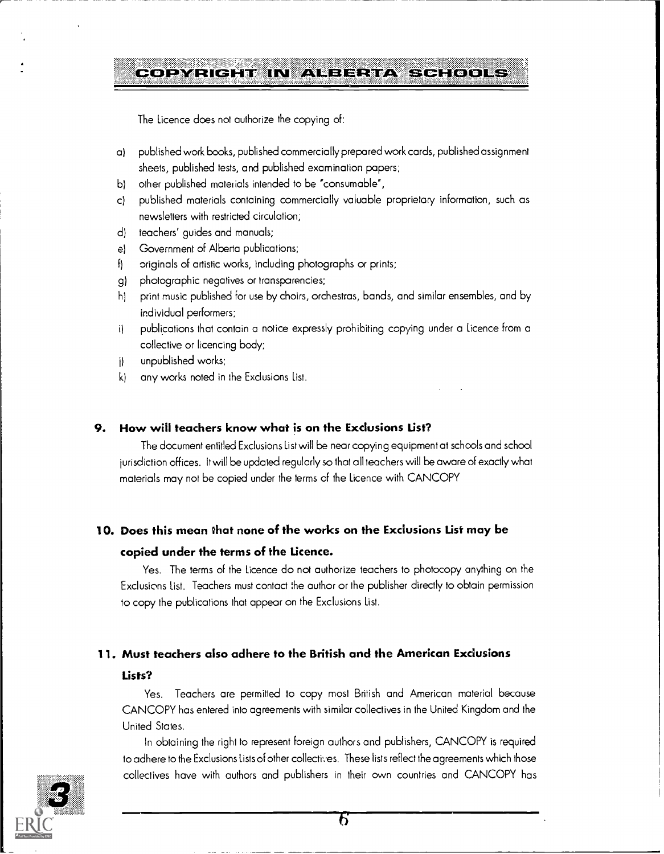## COPYRIGHT IN AUBERTA SCHOOLS

The Licence does not authorize the copying of:

- a) published work books, published commercially prepared work cards, published assignment sheets, published tests, and published examination papers;
- b) other published materials intended to be "consumable",
- c) published materials containing commercially valuable proprietary information, such as newsletters with restricted circulation;
- d) teachers' guides and manuals;
- e) Government of Alberta publications;
- f) originals of artistic works, including photographs or prints;
- g) photographic negatives or transparencies;
- h) print music published for use by choirs, orchestras, bands, and similar ensembles, and by individual performers;
- i) publications that contain a notice expressly prohibiting copying under a Licence from a collective or licencing body:
- j) unpublished works;
- k) any works noted in the Exclusions List.

#### 9. How will teachers know what is on the Exclusions List?

The document entitled Exclusions List will be near copying equipment at schools and school jurisdiction offices. It will be updated regularly so that all teachers will be aware of exactly what materials may not be copied under the terms of the licence with CANCOPY

#### 10. Does this mean that none of the works on the Exclusions List may be

#### copied under the terms of the Licence.

Yes. The terms of the Licence do not authorize teachers to photocopy anything on the Exclusions List. Teachers must contact the author or the publisher directly to obtain permission to copy the publications that appear on the Exclusions List.

#### 11. Must teachers also adhere to the British and the American Exclusions

#### Lists?

Yes. Teachers are permitted to copy most British and American material because CANCOPY has entered into agreements with similar collectives in the United Kingdom and the United States.

In obtaining the right to represent foreign authors and publishers, CANCOPY is required to adhere to the Exclusions Lists of other collectives. These lists reflect the agreements which those collectives have with authors and publishers in their own countries and CANCOPY has 30 metatra. The 30 metatra 30 metatra 30 metatra 30 metatra 30 metatra 30 metatra 30 metatra 30 metatra 30 metatra 30 metatra 30 metatra 3

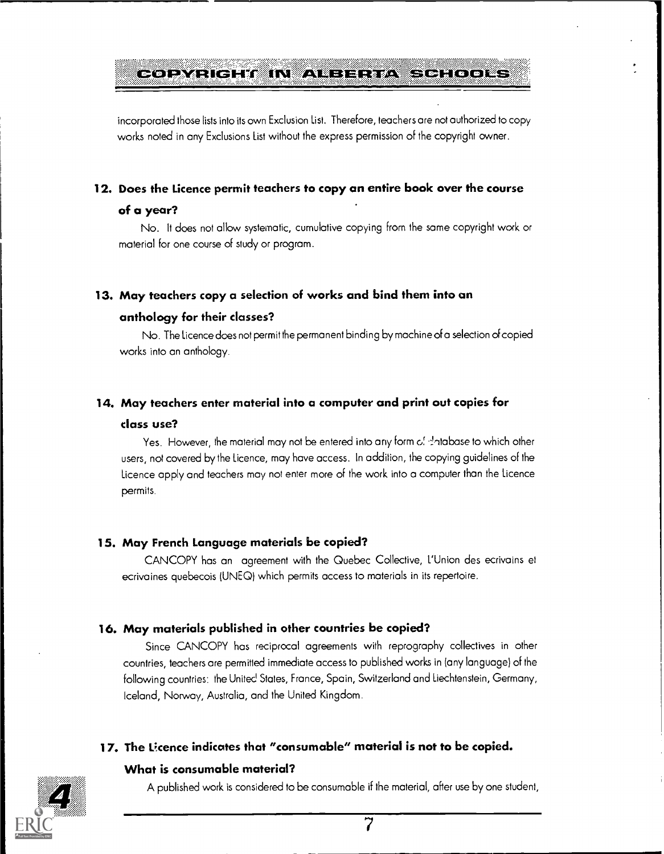## 0-01-YEHELM IN ANETHERA SCHLOOKS

incorporated those lists into its own Exclusion List. Therefore, leachers are not authorized to copy works noted in any Exclusions List without the express permission of the copyright owner.

#### 12. Does the Licence permit teachers to copy an entire book over the course

#### of a year?

No. It does not allow systematic, cumulative copying from the same copyright work or material for one course of study or program.

#### 13. May teachers copy a selection of works and bind them into an

#### anthology for their classes?

No. The Licence does not permit the permanent binding by machine of a selection d copied works into an anthology.

#### 14. May teachers enter material into a computer and print out copies for

#### class use?

Yes. However, the material may not be entered into any form of shalabase to which other users, not covered by the Licence, may hove access. In addition, the copying guidelines of the Licence apply and teachers may not enter more of the work into a computer than the Licence permits.

#### 15. May French Language materials be copied?

CANCOPY hos an agreement with the Quebec Collective, L'Union des ecrivains et ecrivaines quebecois (UNEQ) which permits access to materials in its repertoire.

#### 16. May materials published in other countries be copied?

Since CANCOPY has reciprocal agreements with reprography collectives in other countries, teachers are permitted immediate access to published works in (any language) of the following countries: the United States, France, Spain, Switzerland and Liechtenstein, Germany, Iceland, Norway, Australia, and the United Kingdom.

#### 17. The Ucence indicates that "consumable" material is not to be copied.

#### What is consumable material?

A published work is considered to be consumable if the material, after use by one student,

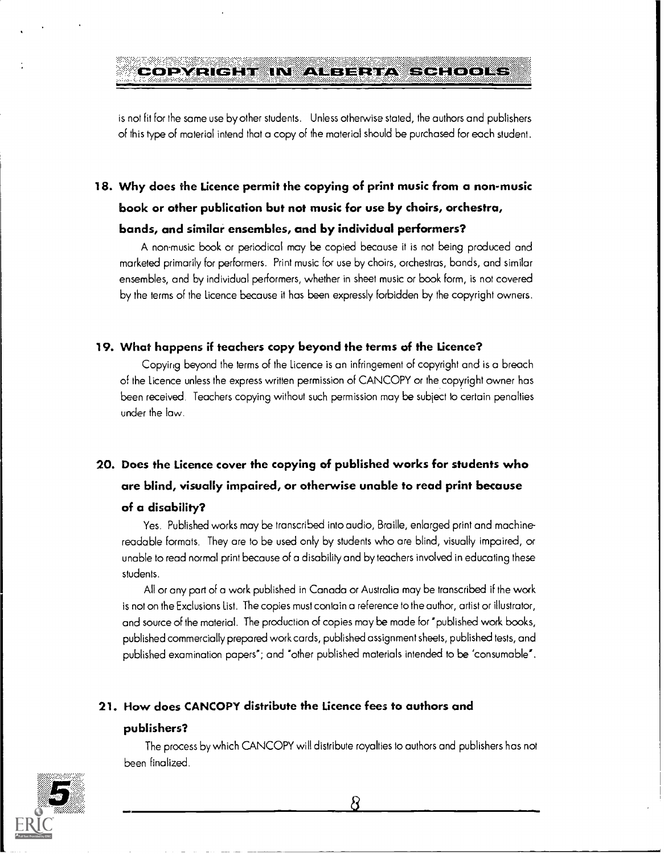# PYRIGHT IN ALBERTA SCHOOLS III

is not fit for the same use by other students. Unless otherwise stated, the outhors and publishers of this type of material intend that a copy of the material should be purchased for each student.

## 18. Why does the Licence permit the copying of print music from a non-music book or other publication but not music for use by choirs, orchestra, bands, and similar ensembles, and by individual performers?

A non-music book or periodical may be copied because it is not being produced and marketed primarily for performers. Print music for use by choirs, orchestras, bands, and similar ensembles, and by individual performers, whether in sheet music or book form, is not covered by the terms of the Licence because it has been expressly forbidden by the copyright owners.

#### 19. What happens if teachers copy beyond the terms of the Licence?

Copying beyond the terms of the licence is an infringement of copyright and is a breach of the Licence unless the express written permission of CANCOPY or the copyright owner has been received. Teachers copying without such permission may be subject to certain penalties under the law.

## 20. Does the Licence cover the copying of published works for students who are blind, visually impaired, or otherwise unable to read print because of a disability?

Yes. Published works may be transcribed into audio, Braille, enlarged print and machinereadable formats. They are to be used only by students who are blind, visually impaired, or unable to read normal print because of a disabilily and by teachers involved in educating these students.

All or any part of a work published in Canada or Australia may be transcribed if the work is not on the Exclusions list. The copies must contain a reference to the author, artist or illustrator, and source of the material. The production of copies may be made for "published work books, published commercially prepared work cards, published assignment sheets, published tests, and published examination papers"; and "other published materials intended to be 'consumable'.

#### 21. How does CANCOPY distribute the Licence fees to authors and

#### publishers?

The process by which CANCOPY will distribute royalties to authors and publishers has not been finalized.